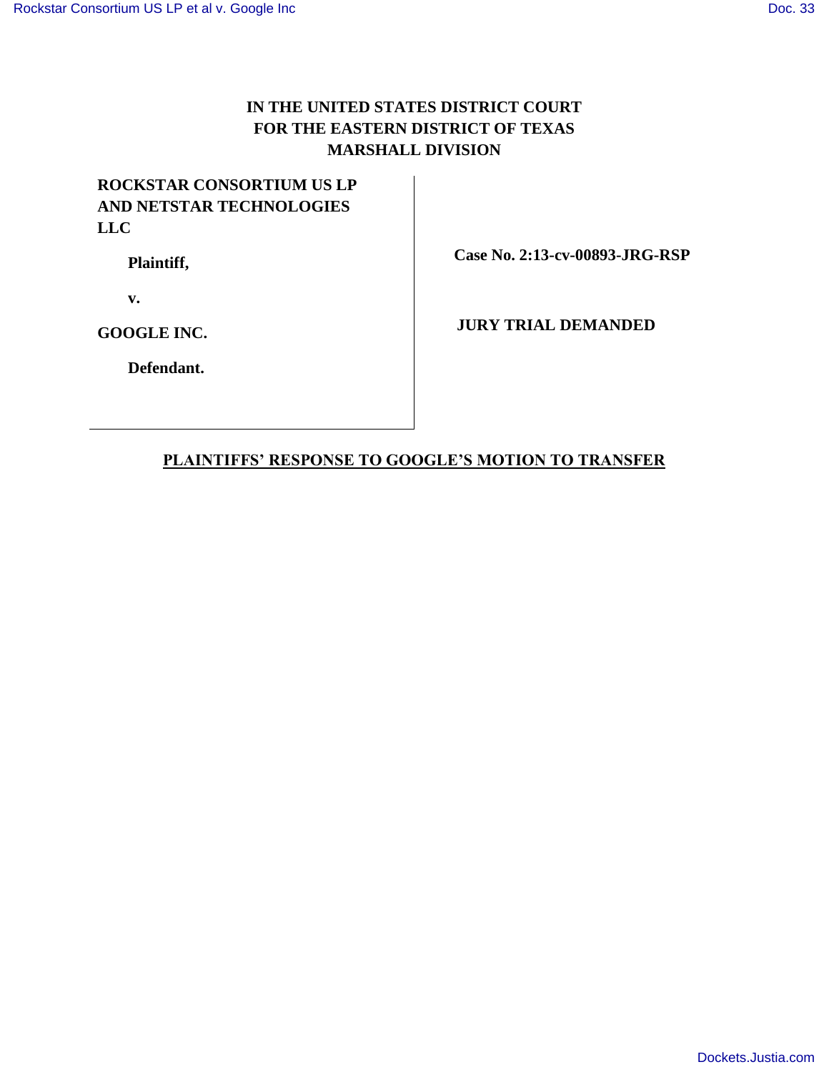# **IN THE UNITED STATES DISTRICT COURT FOR THE EASTERN DISTRICT OF TEXAS MARSHALL DIVISION**

# **ROCKSTAR CONSORTIUM US LP AND NETSTAR TECHNOLOGIES LLC**

**Plaintiff,**

 **Case No. 2:13-cv-00893-JRG-RSP**

**v.**

**GOOGLE INC.**

**JURY TRIAL DEMANDED**

**Defendant.**

## **PLAINTIFFS' RESPONSE TO GOOGLE'S MOTION TO TRANSFER**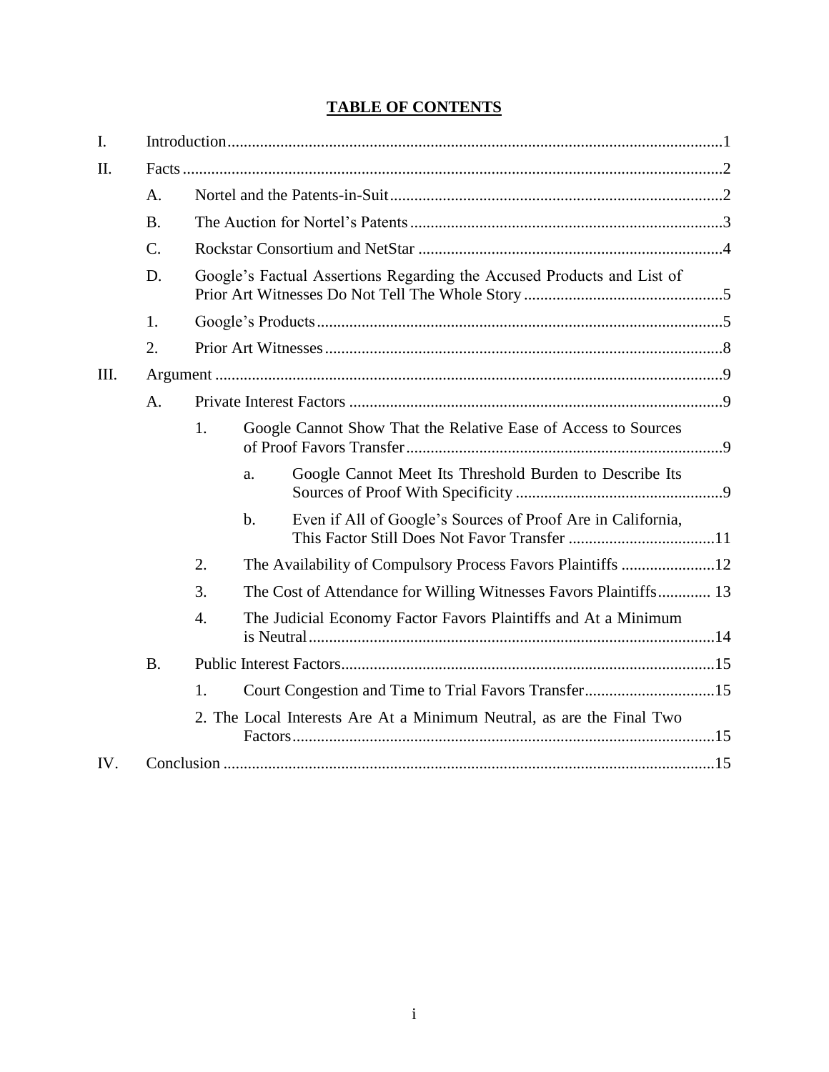# **TABLE OF CONTENTS**

| $I_{\cdot}$ |                 |                                                                        |                                                                              |  |
|-------------|-----------------|------------------------------------------------------------------------|------------------------------------------------------------------------------|--|
| II.         |                 |                                                                        |                                                                              |  |
|             | A.              |                                                                        |                                                                              |  |
|             | <b>B.</b>       |                                                                        |                                                                              |  |
|             | $\mathcal{C}$ . |                                                                        |                                                                              |  |
|             | D.              | Google's Factual Assertions Regarding the Accused Products and List of |                                                                              |  |
|             | 1.              |                                                                        |                                                                              |  |
|             | 2.              |                                                                        |                                                                              |  |
| III.        |                 |                                                                        |                                                                              |  |
|             | A.              |                                                                        |                                                                              |  |
|             |                 | 1.                                                                     | Google Cannot Show That the Relative Ease of Access to Sources               |  |
|             |                 |                                                                        | Google Cannot Meet Its Threshold Burden to Describe Its<br>a.                |  |
|             |                 |                                                                        | Even if All of Google's Sources of Proof Are in California,<br>$\mathbf b$ . |  |
|             |                 | 2.                                                                     |                                                                              |  |
|             |                 | 3.                                                                     | The Cost of Attendance for Willing Witnesses Favors Plaintiffs 13            |  |
|             |                 | $\overline{4}$ .                                                       | The Judicial Economy Factor Favors Plaintiffs and At a Minimum               |  |
|             | <b>B.</b>       |                                                                        |                                                                              |  |
|             |                 | 1.                                                                     | Court Congestion and Time to Trial Favors Transfer15                         |  |
|             |                 |                                                                        | 2. The Local Interests Are At a Minimum Neutral, as are the Final Two        |  |
| IV.         |                 |                                                                        |                                                                              |  |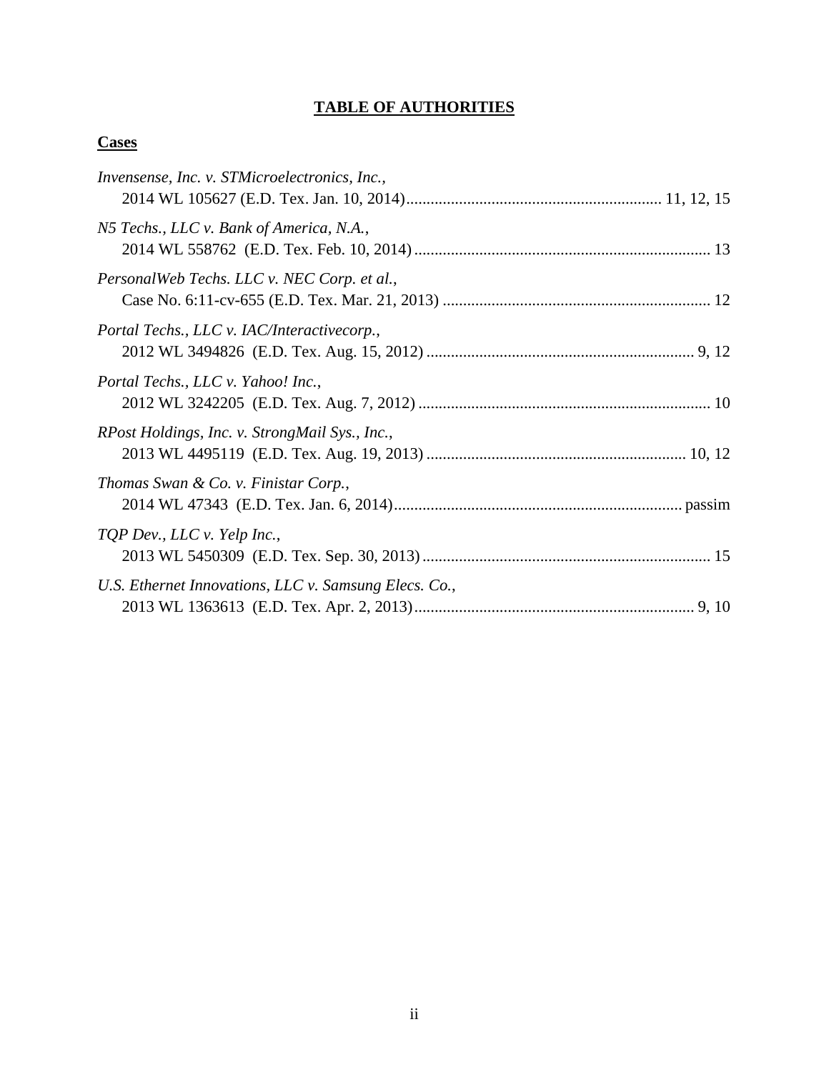# **TABLE OF AUTHORITIES**

## **Cases**

| Invensense, Inc. v. STMicroelectronics, Inc.,         |
|-------------------------------------------------------|
| N5 Techs., LLC v. Bank of America, N.A.,              |
| PersonalWeb Techs. LLC v. NEC Corp. et al.,           |
| Portal Techs., LLC v. IAC/Interactivecorp.,           |
| Portal Techs., LLC v. Yahoo! Inc.,                    |
| RPost Holdings, Inc. v. StrongMail Sys., Inc.,        |
| Thomas Swan & Co. v. Finistar Corp.,                  |
| TQP Dev., LLC v. Yelp Inc.,                           |
| U.S. Ethernet Innovations, LLC v. Samsung Elecs. Co., |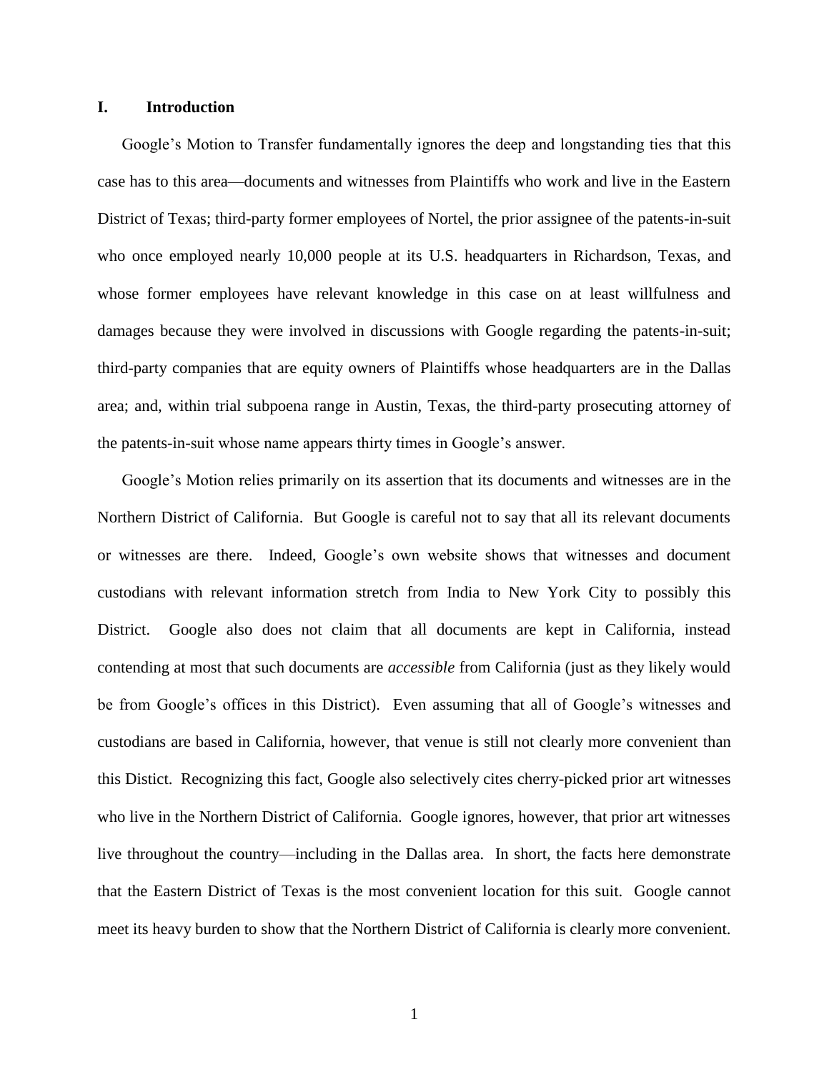## **I. Introduction**

Google's Motion to Transfer fundamentally ignores the deep and longstanding ties that this case has to this area—documents and witnesses from Plaintiffs who work and live in the Eastern District of Texas; third-party former employees of Nortel, the prior assignee of the patents-in-suit who once employed nearly 10,000 people at its U.S. headquarters in Richardson, Texas, and whose former employees have relevant knowledge in this case on at least willfulness and damages because they were involved in discussions with Google regarding the patents-in-suit; third-party companies that are equity owners of Plaintiffs whose headquarters are in the Dallas area; and, within trial subpoena range in Austin, Texas, the third-party prosecuting attorney of the patents-in-suit whose name appears thirty times in Google's answer.

Google's Motion relies primarily on its assertion that its documents and witnesses are in the Northern District of California. But Google is careful not to say that all its relevant documents or witnesses are there. Indeed, Google's own website shows that witnesses and document custodians with relevant information stretch from India to New York City to possibly this District. Google also does not claim that all documents are kept in California, instead contending at most that such documents are *accessible* from California (just as they likely would be from Google's offices in this District). Even assuming that all of Google's witnesses and custodians are based in California, however, that venue is still not clearly more convenient than this Distict. Recognizing this fact, Google also selectively cites cherry-picked prior art witnesses who live in the Northern District of California. Google ignores, however, that prior art witnesses live throughout the country—including in the Dallas area. In short, the facts here demonstrate that the Eastern District of Texas is the most convenient location for this suit. Google cannot meet its heavy burden to show that the Northern District of California is clearly more convenient.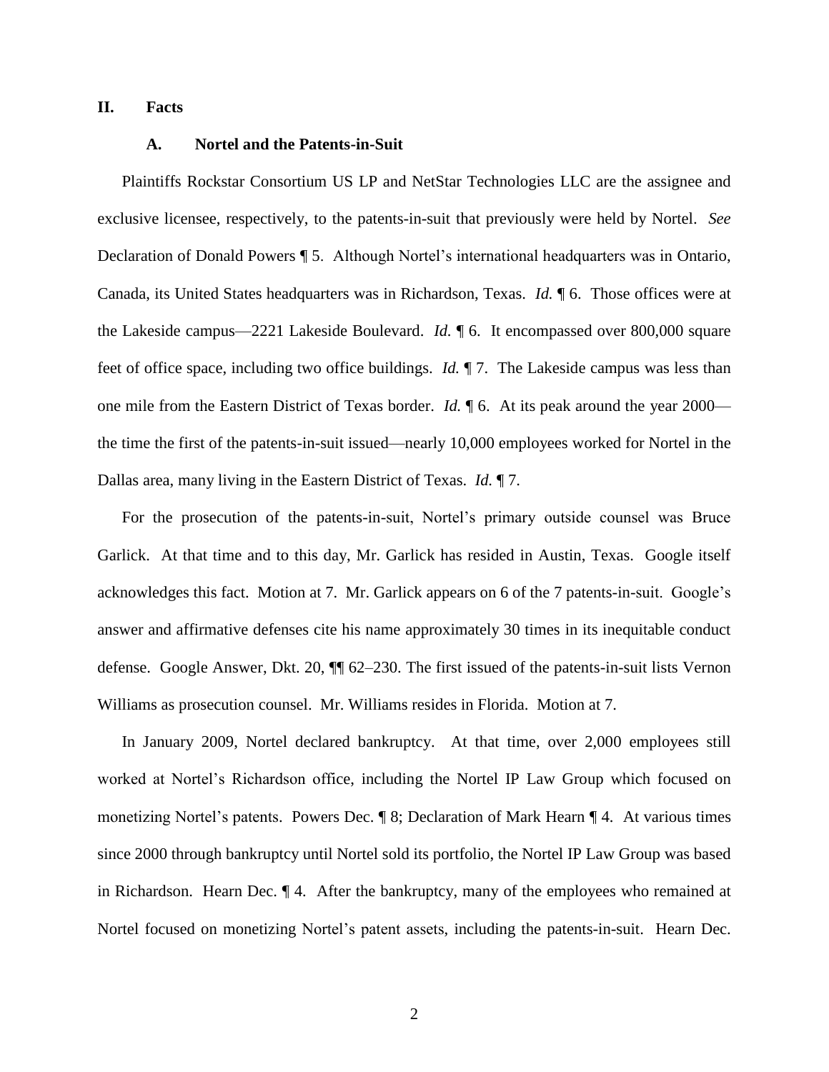## **II. Facts**

## **A. Nortel and the Patents-in-Suit**

Plaintiffs Rockstar Consortium US LP and NetStar Technologies LLC are the assignee and exclusive licensee, respectively, to the patents-in-suit that previously were held by Nortel. *See*  Declaration of Donald Powers ¶ 5. Although Nortel's international headquarters was in Ontario, Canada, its United States headquarters was in Richardson, Texas. *Id.* ¶ 6. Those offices were at the Lakeside campus—2221 Lakeside Boulevard. *Id.* ¶ 6. It encompassed over 800,000 square feet of office space, including two office buildings. *Id.* ¶ 7. The Lakeside campus was less than one mile from the Eastern District of Texas border. *Id.* ¶ 6. At its peak around the year 2000 the time the first of the patents-in-suit issued—nearly 10,000 employees worked for Nortel in the Dallas area, many living in the Eastern District of Texas. *Id.* ¶ 7.

For the prosecution of the patents-in-suit, Nortel's primary outside counsel was Bruce Garlick. At that time and to this day, Mr. Garlick has resided in Austin, Texas. Google itself acknowledges this fact. Motion at 7. Mr. Garlick appears on 6 of the 7 patents-in-suit. Google's answer and affirmative defenses cite his name approximately 30 times in its inequitable conduct defense. Google Answer, Dkt. 20, ¶¶ 62–230. The first issued of the patents-in-suit lists Vernon Williams as prosecution counsel. Mr. Williams resides in Florida. Motion at 7.

In January 2009, Nortel declared bankruptcy. At that time, over 2,000 employees still worked at Nortel's Richardson office, including the Nortel IP Law Group which focused on monetizing Nortel's patents. Powers Dec. ¶ 8; Declaration of Mark Hearn ¶ 4*.* At various times since 2000 through bankruptcy until Nortel sold its portfolio, the Nortel IP Law Group was based in Richardson. Hearn Dec. ¶ 4*.* After the bankruptcy, many of the employees who remained at Nortel focused on monetizing Nortel's patent assets, including the patents-in-suit. Hearn Dec.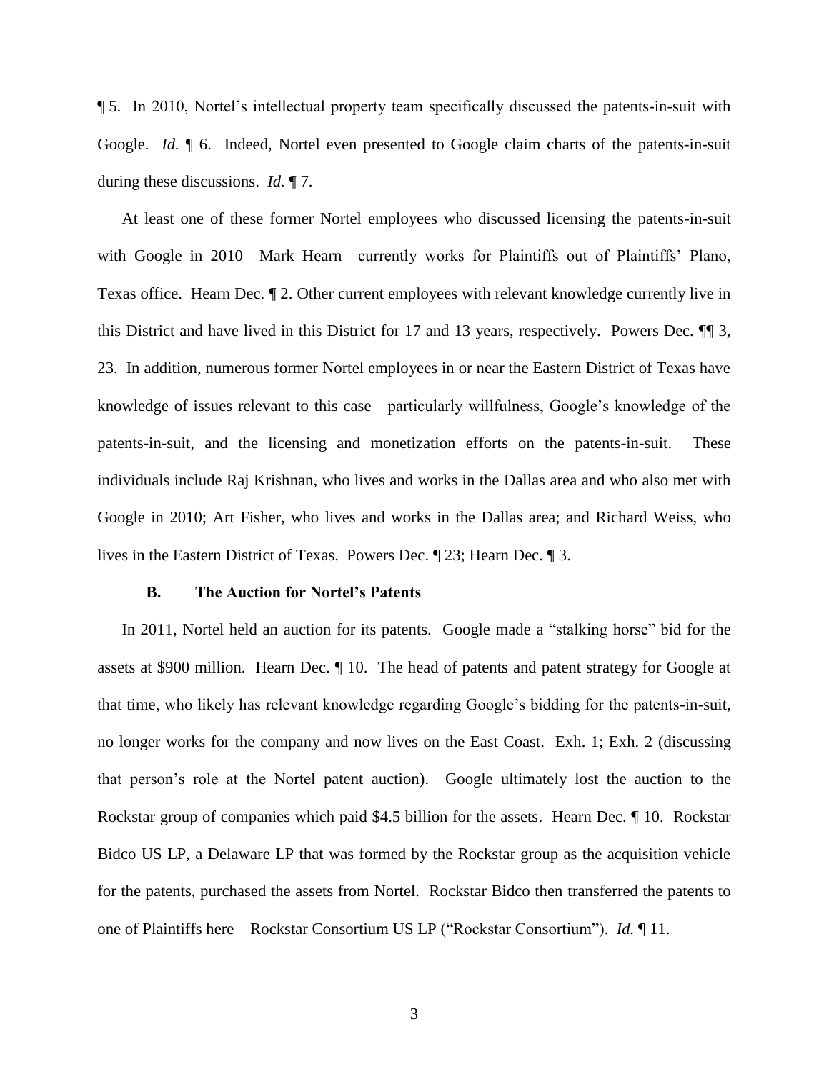¶ 5. In 2010, Nortel's intellectual property team specifically discussed the patents-in-suit with Google. *Id.* ¶ 6. Indeed, Nortel even presented to Google claim charts of the patents-in-suit during these discussions. *Id.* ¶ 7.

At least one of these former Nortel employees who discussed licensing the patents-in-suit with Google in 2010—Mark Hearn—currently works for Plaintiffs out of Plaintiffs' Plano, Texas office. Hearn Dec. ¶ 2. Other current employees with relevant knowledge currently live in this District and have lived in this District for 17 and 13 years, respectively. Powers Dec. ¶¶ 3, 23. In addition, numerous former Nortel employees in or near the Eastern District of Texas have knowledge of issues relevant to this case—particularly willfulness, Google's knowledge of the patents-in-suit, and the licensing and monetization efforts on the patents-in-suit. These individuals include Raj Krishnan, who lives and works in the Dallas area and who also met with Google in 2010; Art Fisher, who lives and works in the Dallas area; and Richard Weiss, who lives in the Eastern District of Texas. Powers Dec. ¶ 23; Hearn Dec. ¶ 3.

### **B. The Auction for Nortel's Patents**

In 2011, Nortel held an auction for its patents. Google made a "stalking horse" bid for the assets at \$900 million. Hearn Dec. ¶ 10. The head of patents and patent strategy for Google at that time, who likely has relevant knowledge regarding Google's bidding for the patents-in-suit, no longer works for the company and now lives on the East Coast. Exh. 1; Exh. 2 (discussing that person's role at the Nortel patent auction). Google ultimately lost the auction to the Rockstar group of companies which paid \$4.5 billion for the assets. Hearn Dec. ¶ 10. Rockstar Bidco US LP, a Delaware LP that was formed by the Rockstar group as the acquisition vehicle for the patents, purchased the assets from Nortel. Rockstar Bidco then transferred the patents to one of Plaintiffs here—Rockstar Consortium US LP ("Rockstar Consortium"). *Id.* ¶ 11.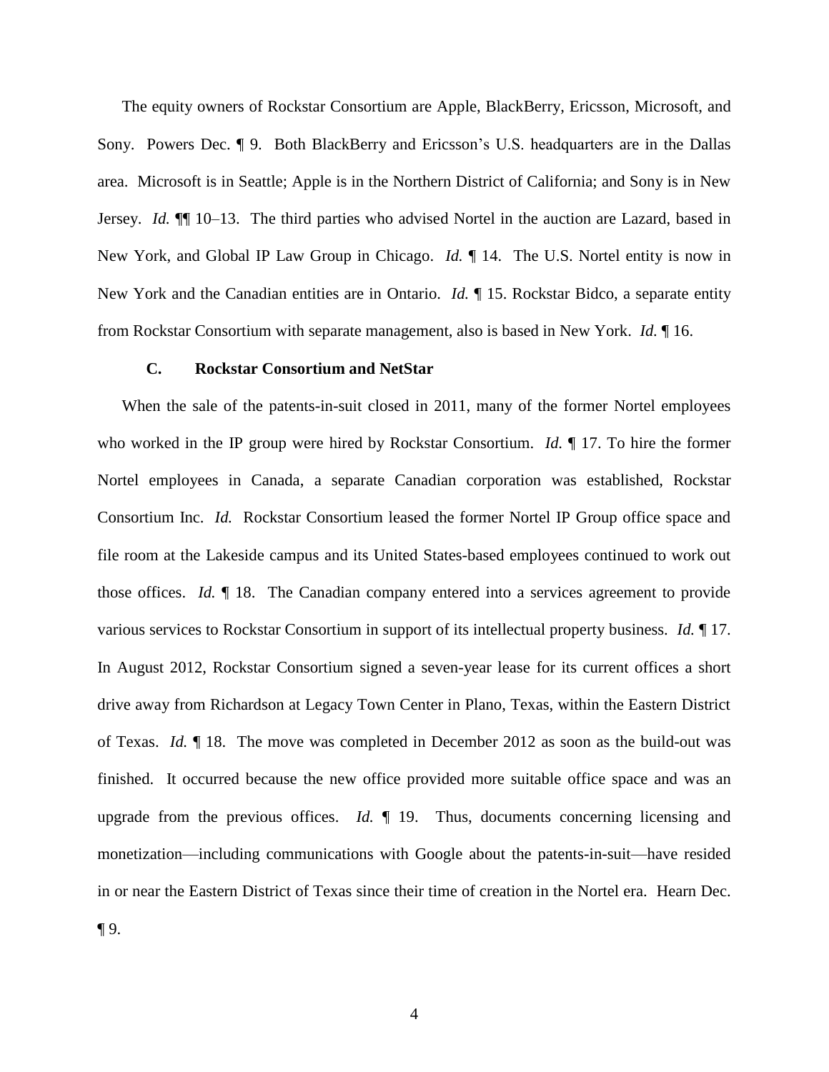The equity owners of Rockstar Consortium are Apple, BlackBerry, Ericsson, Microsoft, and Sony. Powers Dec. ¶ 9. Both BlackBerry and Ericsson's U.S. headquarters are in the Dallas area. Microsoft is in Seattle; Apple is in the Northern District of California; and Sony is in New Jersey. *Id.* ¶¶ 10–13. The third parties who advised Nortel in the auction are Lazard, based in New York, and Global IP Law Group in Chicago. *Id.* ¶ 14. The U.S. Nortel entity is now in New York and the Canadian entities are in Ontario. *Id.* ¶ 15. Rockstar Bidco, a separate entity from Rockstar Consortium with separate management, also is based in New York. *Id.* ¶ 16.

## **C. Rockstar Consortium and NetStar**

When the sale of the patents-in-suit closed in 2011, many of the former Nortel employees who worked in the IP group were hired by Rockstar Consortium. *Id.* ¶ 17. To hire the former Nortel employees in Canada, a separate Canadian corporation was established, Rockstar Consortium Inc. *Id.* Rockstar Consortium leased the former Nortel IP Group office space and file room at the Lakeside campus and its United States-based employees continued to work out those offices. *Id.* ¶ 18. The Canadian company entered into a services agreement to provide various services to Rockstar Consortium in support of its intellectual property business. *Id.* ¶ 17. In August 2012, Rockstar Consortium signed a seven-year lease for its current offices a short drive away from Richardson at Legacy Town Center in Plano, Texas, within the Eastern District of Texas. *Id.* ¶ 18. The move was completed in December 2012 as soon as the build-out was finished. It occurred because the new office provided more suitable office space and was an upgrade from the previous offices. *Id.* 19. Thus, documents concerning licensing and monetization—including communications with Google about the patents-in-suit—have resided in or near the Eastern District of Texas since their time of creation in the Nortel era. Hearn Dec.  $\P9.$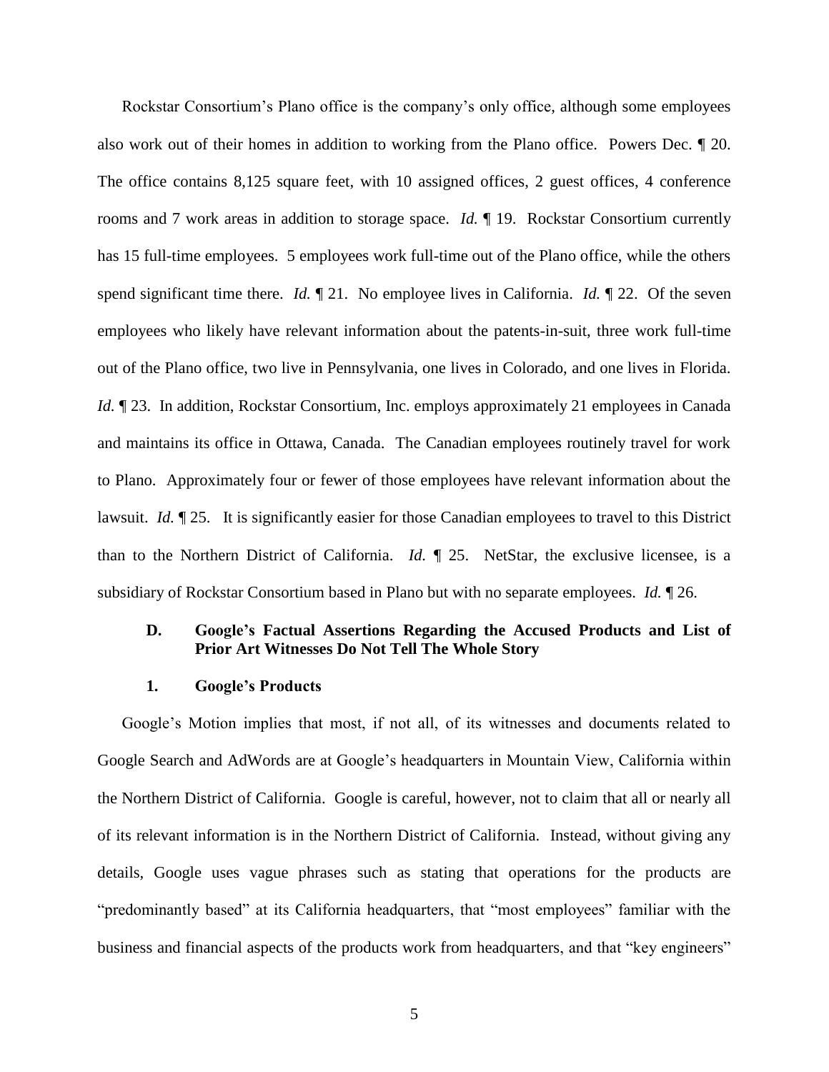Rockstar Consortium's Plano office is the company's only office, although some employees also work out of their homes in addition to working from the Plano office. Powers Dec. ¶ 20. The office contains 8,125 square feet, with 10 assigned offices, 2 guest offices, 4 conference rooms and 7 work areas in addition to storage space. *Id.* ¶ 19. Rockstar Consortium currently has 15 full-time employees. 5 employees work full-time out of the Plano office, while the others spend significant time there. *Id.* ¶ 21. No employee lives in California. *Id.* ¶ 22. Of the seven employees who likely have relevant information about the patents-in-suit, three work full-time out of the Plano office, two live in Pennsylvania, one lives in Colorado, and one lives in Florida. *Id.*  $\P$  23. In addition, Rockstar Consortium, Inc. employs approximately 21 employees in Canada and maintains its office in Ottawa, Canada. The Canadian employees routinely travel for work to Plano. Approximately four or fewer of those employees have relevant information about the lawsuit. *Id.* ¶ 25. It is significantly easier for those Canadian employees to travel to this District than to the Northern District of California. *Id.* ¶ 25. NetStar, the exclusive licensee, is a subsidiary of Rockstar Consortium based in Plano but with no separate employees. *Id.* ¶ 26.

## **D. Google's Factual Assertions Regarding the Accused Products and List of Prior Art Witnesses Do Not Tell The Whole Story**

#### **1. Google's Products**

Google's Motion implies that most, if not all, of its witnesses and documents related to Google Search and AdWords are at Google's headquarters in Mountain View, California within the Northern District of California. Google is careful, however, not to claim that all or nearly all of its relevant information is in the Northern District of California. Instead, without giving any details, Google uses vague phrases such as stating that operations for the products are "predominantly based" at its California headquarters, that "most employees" familiar with the business and financial aspects of the products work from headquarters, and that "key engineers"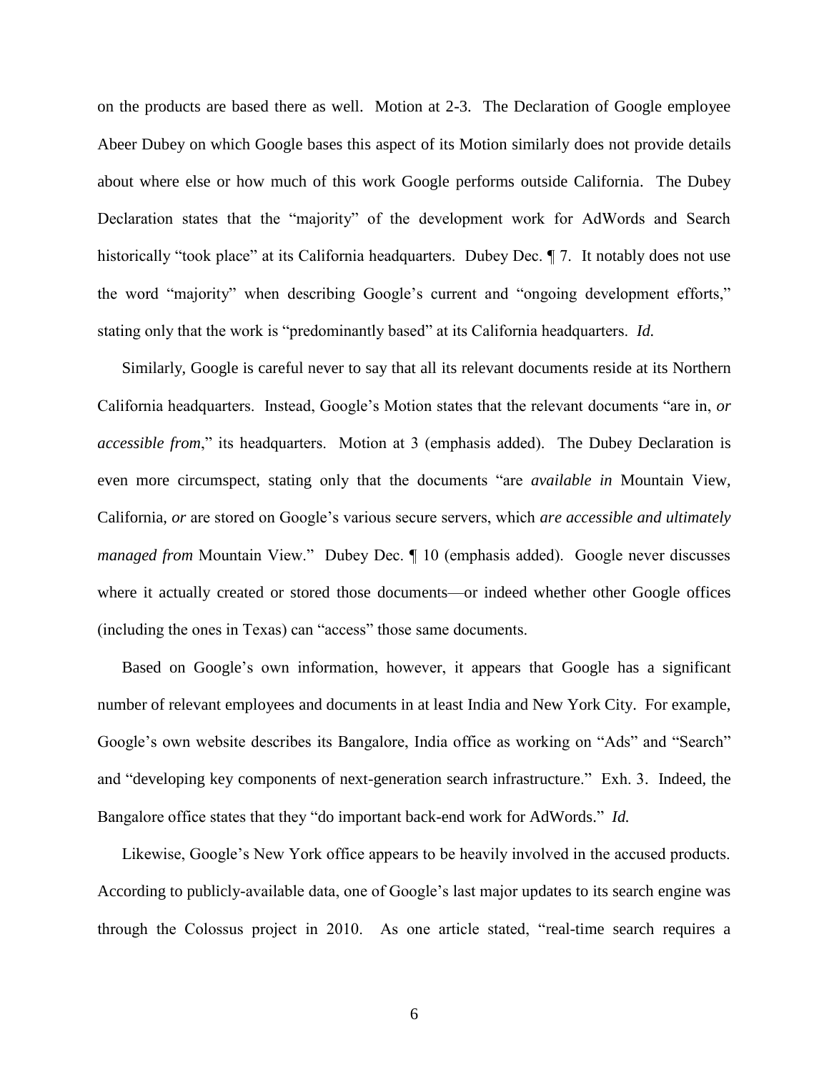on the products are based there as well. Motion at 2-3. The Declaration of Google employee Abeer Dubey on which Google bases this aspect of its Motion similarly does not provide details about where else or how much of this work Google performs outside California. The Dubey Declaration states that the "majority" of the development work for AdWords and Search historically "took place" at its California headquarters. Dubey Dec.  $\P$  7. It notably does not use the word "majority" when describing Google's current and "ongoing development efforts," stating only that the work is "predominantly based" at its California headquarters. *Id.* 

Similarly, Google is careful never to say that all its relevant documents reside at its Northern California headquarters. Instead, Google's Motion states that the relevant documents "are in, *or accessible from*," its headquarters. Motion at 3 (emphasis added). The Dubey Declaration is even more circumspect, stating only that the documents "are *available in* Mountain View, California, *or* are stored on Google's various secure servers, which *are accessible and ultimately managed from* Mountain View." Dubey Dec. ¶ 10 (emphasis added). Google never discusses where it actually created or stored those documents—or indeed whether other Google offices (including the ones in Texas) can "access" those same documents.

Based on Google's own information, however, it appears that Google has a significant number of relevant employees and documents in at least India and New York City. For example, Google's own website describes its Bangalore, India office as working on "Ads" and "Search" and "developing key components of next-generation search infrastructure." Exh. 3. Indeed, the Bangalore office states that they "do important back-end work for AdWords." *Id.*

Likewise, Google's New York office appears to be heavily involved in the accused products. According to publicly-available data, one of Google's last major updates to its search engine was through the Colossus project in 2010. As one article stated, "real-time search requires a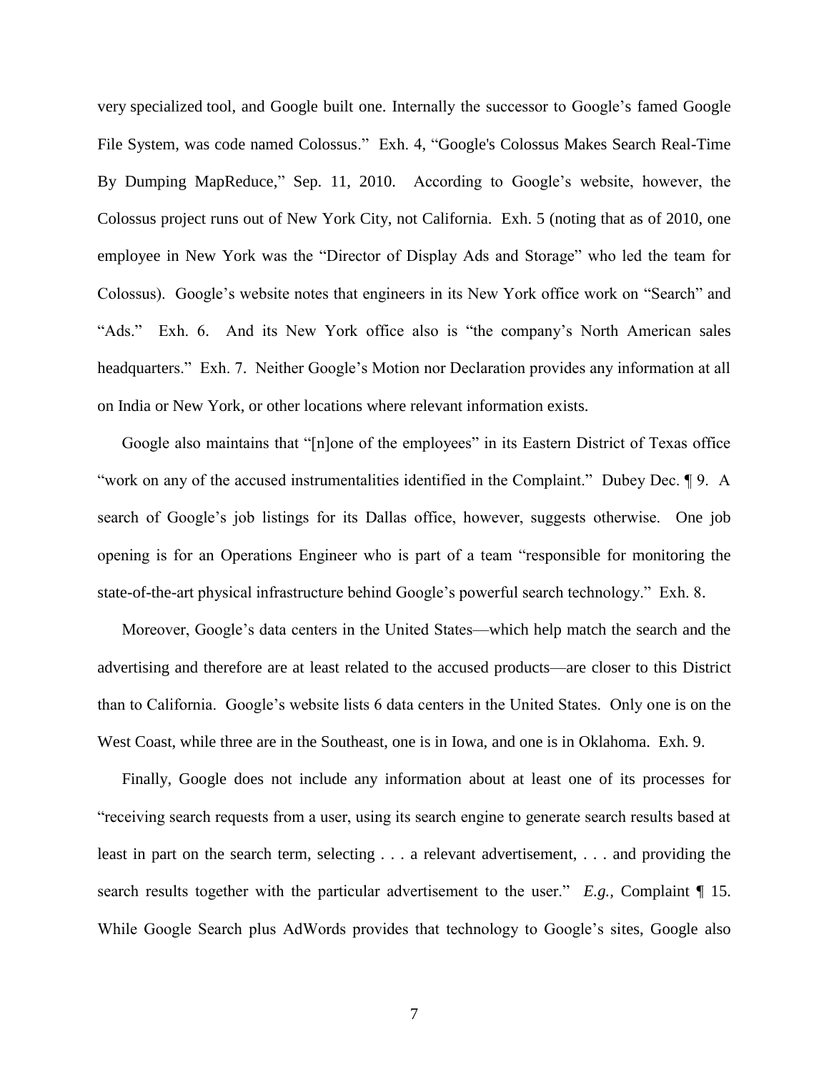very specialized tool, and Google built one. Internally the successor to Google's famed Google File System, was code named Colossus." Exh. 4, "Google's Colossus Makes Search Real-Time By Dumping MapReduce," Sep. 11, 2010. According to Google's website, however, the Colossus project runs out of New York City, not California. Exh. 5 (noting that as of 2010, one employee in New York was the "Director of Display Ads and Storage" who led the team for Colossus). Google's website notes that engineers in its New York office work on "Search" and "Ads." Exh. 6. And its New York office also is "the company's North American sales headquarters." Exh. 7. Neither Google's Motion nor Declaration provides any information at all on India or New York, or other locations where relevant information exists.

Google also maintains that "[n]one of the employees" in its Eastern District of Texas office "work on any of the accused instrumentalities identified in the Complaint." Dubey Dec. ¶ 9. A search of Google's job listings for its Dallas office, however, suggests otherwise. One job opening is for an Operations Engineer who is part of a team "responsible for monitoring the state-of-the-art physical infrastructure behind Google's powerful search technology." Exh. 8.

Moreover, Google's data centers in the United States—which help match the search and the advertising and therefore are at least related to the accused products—are closer to this District than to California. Google's website lists 6 data centers in the United States. Only one is on the West Coast, while three are in the Southeast, one is in Iowa, and one is in Oklahoma. Exh. 9.

Finally, Google does not include any information about at least one of its processes for "receiving search requests from a user, using its search engine to generate search results based at least in part on the search term, selecting . . . a relevant advertisement, . . . and providing the search results together with the particular advertisement to the user." *E.g.,* Complaint ¶ 15. While Google Search plus AdWords provides that technology to Google's sites, Google also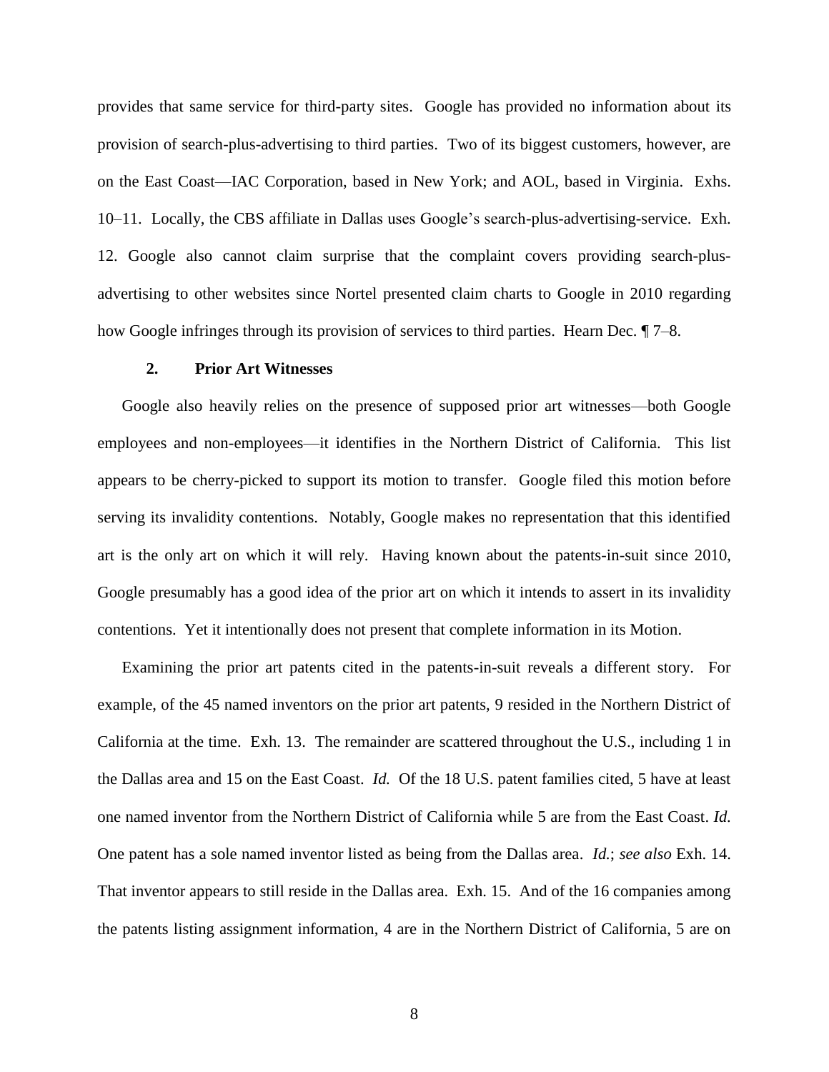provides that same service for third-party sites. Google has provided no information about its provision of search-plus-advertising to third parties. Two of its biggest customers, however, are on the East Coast—IAC Corporation, based in New York; and AOL, based in Virginia. Exhs. 10–11. Locally, the CBS affiliate in Dallas uses Google's search-plus-advertising-service. Exh. 12. Google also cannot claim surprise that the complaint covers providing search-plusadvertising to other websites since Nortel presented claim charts to Google in 2010 regarding how Google infringes through its provision of services to third parties. Hearn Dec.  $\sqrt{7}-8$ .

## **2. Prior Art Witnesses**

Google also heavily relies on the presence of supposed prior art witnesses—both Google employees and non-employees—it identifies in the Northern District of California. This list appears to be cherry-picked to support its motion to transfer. Google filed this motion before serving its invalidity contentions. Notably, Google makes no representation that this identified art is the only art on which it will rely. Having known about the patents-in-suit since 2010, Google presumably has a good idea of the prior art on which it intends to assert in its invalidity contentions. Yet it intentionally does not present that complete information in its Motion.

Examining the prior art patents cited in the patents-in-suit reveals a different story. For example, of the 45 named inventors on the prior art patents, 9 resided in the Northern District of California at the time. Exh. 13. The remainder are scattered throughout the U.S., including 1 in the Dallas area and 15 on the East Coast. *Id.* Of the 18 U.S. patent families cited, 5 have at least one named inventor from the Northern District of California while 5 are from the East Coast. *Id.* One patent has a sole named inventor listed as being from the Dallas area. *Id.*; *see also* Exh. 14. That inventor appears to still reside in the Dallas area. Exh. 15. And of the 16 companies among the patents listing assignment information, 4 are in the Northern District of California, 5 are on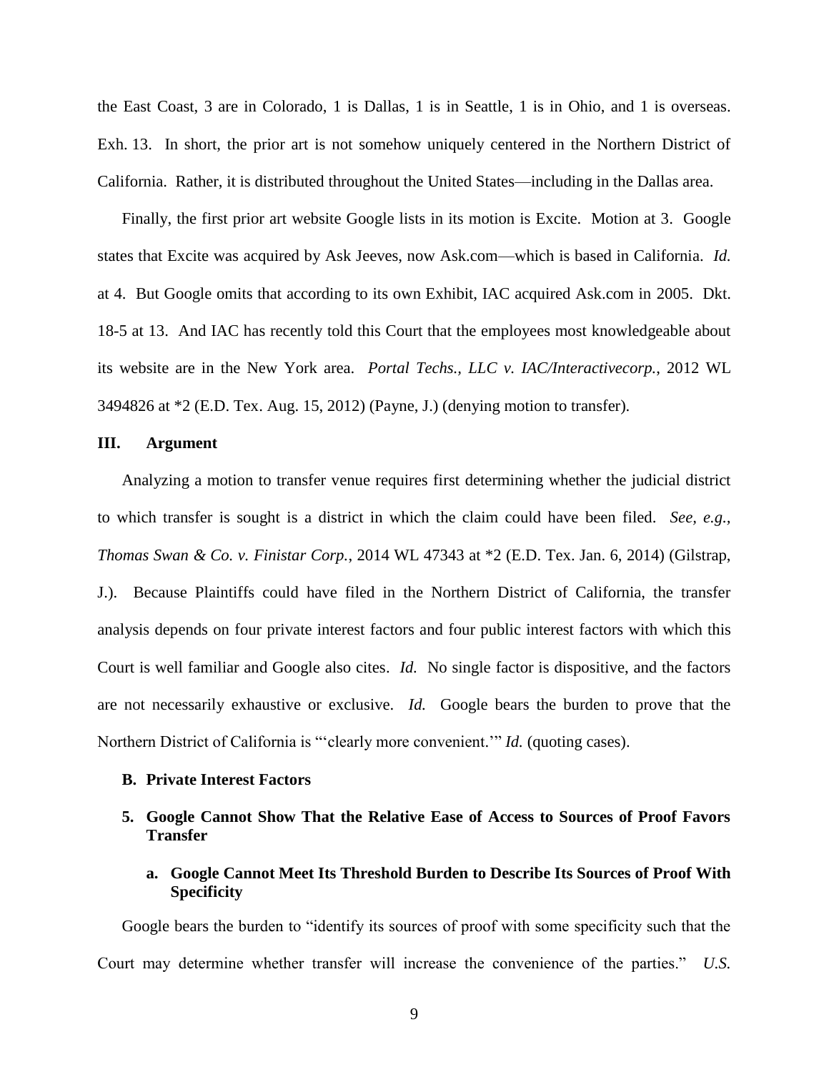the East Coast, 3 are in Colorado, 1 is Dallas, 1 is in Seattle, 1 is in Ohio, and 1 is overseas. Exh. 13. In short, the prior art is not somehow uniquely centered in the Northern District of California. Rather, it is distributed throughout the United States—including in the Dallas area.

Finally, the first prior art website Google lists in its motion is Excite. Motion at 3. Google states that Excite was acquired by Ask Jeeves, now Ask.com—which is based in California. *Id.*  at 4. But Google omits that according to its own Exhibit, IAC acquired Ask.com in 2005. Dkt. 18-5 at 13. And IAC has recently told this Court that the employees most knowledgeable about its website are in the New York area. *Portal Techs., LLC v. IAC/Interactivecorp.*, 2012 WL 3494826 at \*2 (E.D. Tex. Aug. 15, 2012) (Payne, J.) (denying motion to transfer).

## **III. Argument**

Analyzing a motion to transfer venue requires first determining whether the judicial district to which transfer is sought is a district in which the claim could have been filed. *See, e.g., Thomas Swan & Co. v. Finistar Corp.*, 2014 WL 47343 at \*2 (E.D. Tex. Jan. 6, 2014) (Gilstrap, J.). Because Plaintiffs could have filed in the Northern District of California, the transfer analysis depends on four private interest factors and four public interest factors with which this Court is well familiar and Google also cites. *Id.* No single factor is dispositive, and the factors are not necessarily exhaustive or exclusive. *Id.* Google bears the burden to prove that the Northern District of California is "'clearly more convenient.'" *Id.* (quoting cases).

## **B. Private Interest Factors**

## **5. Google Cannot Show That the Relative Ease of Access to Sources of Proof Favors Transfer**

**a. Google Cannot Meet Its Threshold Burden to Describe Its Sources of Proof With Specificity**

Google bears the burden to "identify its sources of proof with some specificity such that the Court may determine whether transfer will increase the convenience of the parties." *U.S.*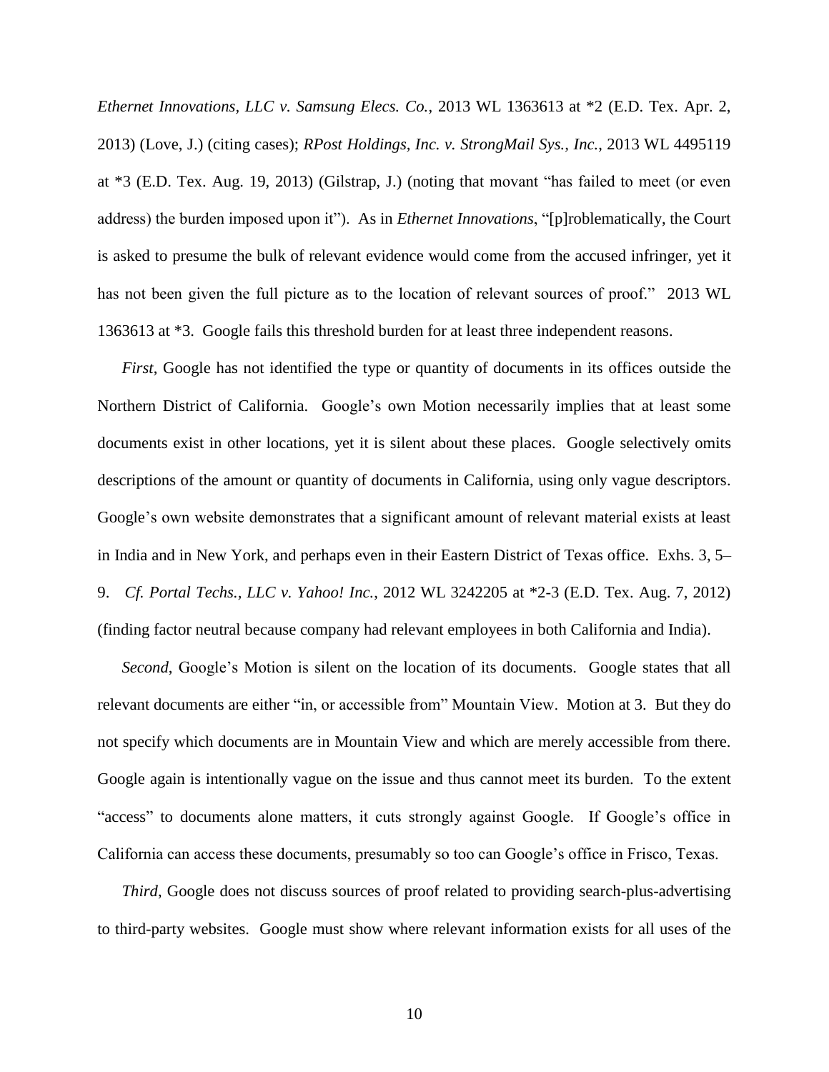*Ethernet Innovations, LLC v. Samsung Elecs. Co.*, 2013 WL 1363613 at \*2 (E.D. Tex. Apr. 2, 2013) (Love, J.) (citing cases); *RPost Holdings, Inc. v. StrongMail Sys., Inc.*, 2013 WL 4495119 at \*3 (E.D. Tex. Aug. 19, 2013) (Gilstrap, J.) (noting that movant "has failed to meet (or even address) the burden imposed upon it"). As in *Ethernet Innovations*, "[p]roblematically, the Court is asked to presume the bulk of relevant evidence would come from the accused infringer, yet it has not been given the full picture as to the location of relevant sources of proof." 2013 WL 1363613 at \*3. Google fails this threshold burden for at least three independent reasons.

*First*, Google has not identified the type or quantity of documents in its offices outside the Northern District of California. Google's own Motion necessarily implies that at least some documents exist in other locations, yet it is silent about these places. Google selectively omits descriptions of the amount or quantity of documents in California, using only vague descriptors. Google's own website demonstrates that a significant amount of relevant material exists at least in India and in New York, and perhaps even in their Eastern District of Texas office. Exhs. 3, 5– 9. *Cf. Portal Techs., LLC v. Yahoo! Inc.*, 2012 WL 3242205 at \*2-3 (E.D. Tex. Aug. 7, 2012) (finding factor neutral because company had relevant employees in both California and India).

*Second*, Google's Motion is silent on the location of its documents. Google states that all relevant documents are either "in, or accessible from" Mountain View. Motion at 3. But they do not specify which documents are in Mountain View and which are merely accessible from there. Google again is intentionally vague on the issue and thus cannot meet its burden. To the extent "access" to documents alone matters, it cuts strongly against Google. If Google's office in California can access these documents, presumably so too can Google's office in Frisco, Texas.

*Third*, Google does not discuss sources of proof related to providing search-plus-advertising to third-party websites. Google must show where relevant information exists for all uses of the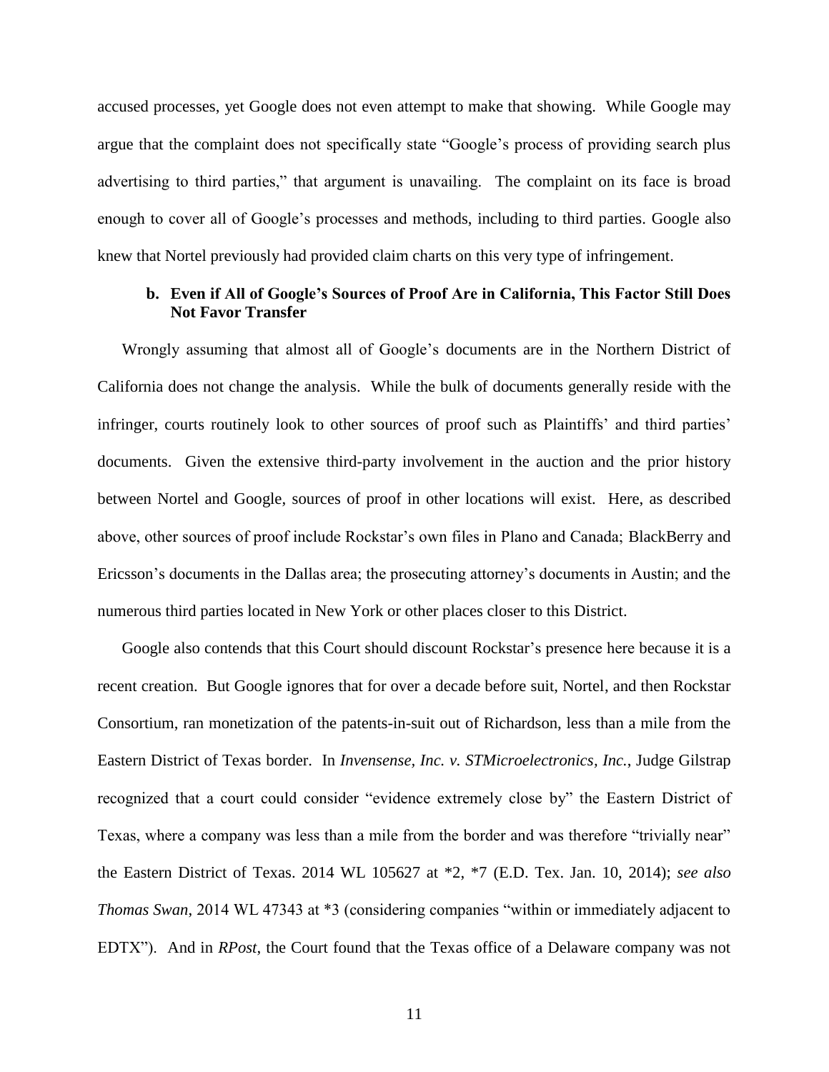accused processes, yet Google does not even attempt to make that showing. While Google may argue that the complaint does not specifically state "Google's process of providing search plus advertising to third parties," that argument is unavailing. The complaint on its face is broad enough to cover all of Google's processes and methods, including to third parties. Google also knew that Nortel previously had provided claim charts on this very type of infringement.

## **b. Even if All of Google's Sources of Proof Are in California, This Factor Still Does Not Favor Transfer**

Wrongly assuming that almost all of Google's documents are in the Northern District of California does not change the analysis. While the bulk of documents generally reside with the infringer, courts routinely look to other sources of proof such as Plaintiffs' and third parties' documents. Given the extensive third-party involvement in the auction and the prior history between Nortel and Google, sources of proof in other locations will exist. Here, as described above, other sources of proof include Rockstar's own files in Plano and Canada; BlackBerry and Ericsson's documents in the Dallas area; the prosecuting attorney's documents in Austin; and the numerous third parties located in New York or other places closer to this District.

Google also contends that this Court should discount Rockstar's presence here because it is a recent creation. But Google ignores that for over a decade before suit, Nortel, and then Rockstar Consortium, ran monetization of the patents-in-suit out of Richardson, less than a mile from the Eastern District of Texas border. In *Invensense, Inc. v. STMicroelectronics, Inc.*, Judge Gilstrap recognized that a court could consider "evidence extremely close by" the Eastern District of Texas, where a company was less than a mile from the border and was therefore "trivially near" the Eastern District of Texas. 2014 WL 105627 at \*2, \*7 (E.D. Tex. Jan. 10, 2014); *see also Thomas Swan*, 2014 WL 47343 at \*3 (considering companies "within or immediately adjacent to EDTX"). And in *RPost*, the Court found that the Texas office of a Delaware company was not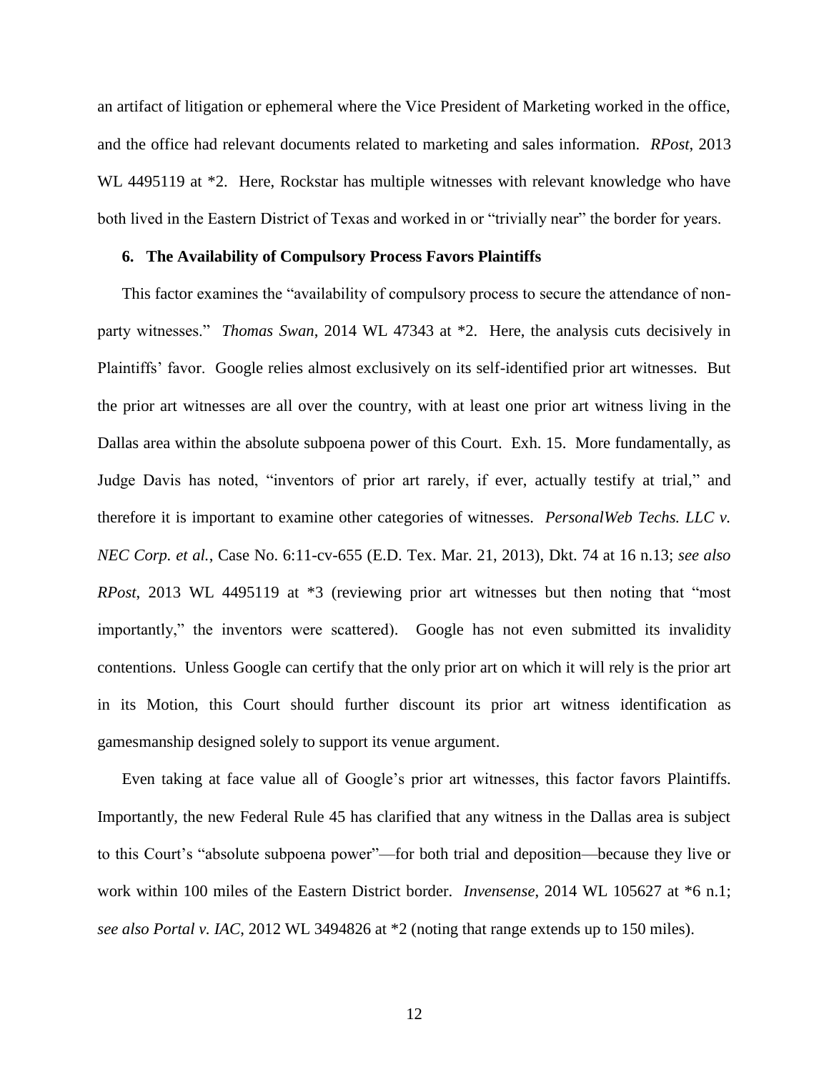an artifact of litigation or ephemeral where the Vice President of Marketing worked in the office, and the office had relevant documents related to marketing and sales information. *RPost*, 2013 WL 4495119 at  $*2$ . Here, Rockstar has multiple witnesses with relevant knowledge who have both lived in the Eastern District of Texas and worked in or "trivially near" the border for years.

## **6. The Availability of Compulsory Process Favors Plaintiffs**

This factor examines the "availability of compulsory process to secure the attendance of nonparty witnesses." *Thomas Swan*, 2014 WL 47343 at \*2. Here, the analysis cuts decisively in Plaintiffs' favor. Google relies almost exclusively on its self-identified prior art witnesses. But the prior art witnesses are all over the country, with at least one prior art witness living in the Dallas area within the absolute subpoena power of this Court. Exh. 15. More fundamentally, as Judge Davis has noted, "inventors of prior art rarely, if ever, actually testify at trial," and therefore it is important to examine other categories of witnesses. *PersonalWeb Techs. LLC v. NEC Corp. et al.*, Case No. 6:11-cv-655 (E.D. Tex. Mar. 21, 2013), Dkt. 74 at 16 n.13; *see also RPost*, 2013 WL 4495119 at \*3 (reviewing prior art witnesses but then noting that "most importantly," the inventors were scattered). Google has not even submitted its invalidity contentions. Unless Google can certify that the only prior art on which it will rely is the prior art in its Motion, this Court should further discount its prior art witness identification as gamesmanship designed solely to support its venue argument.

Even taking at face value all of Google's prior art witnesses, this factor favors Plaintiffs. Importantly, the new Federal Rule 45 has clarified that any witness in the Dallas area is subject to this Court's "absolute subpoena power"—for both trial and deposition—because they live or work within 100 miles of the Eastern District border. *Invensense*, 2014 WL 105627 at \*6 n.1; *see also Portal v. IAC*, 2012 WL 3494826 at \*2 (noting that range extends up to 150 miles).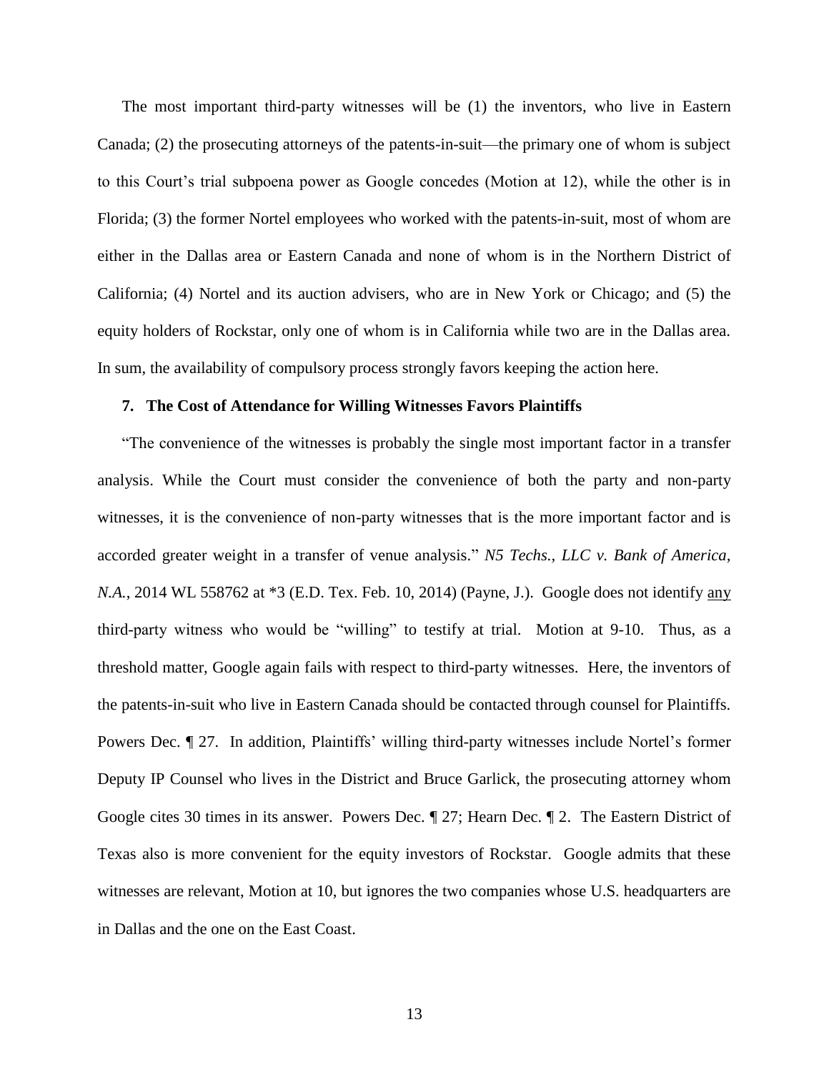The most important third-party witnesses will be (1) the inventors, who live in Eastern Canada; (2) the prosecuting attorneys of the patents-in-suit—the primary one of whom is subject to this Court's trial subpoena power as Google concedes (Motion at 12), while the other is in Florida; (3) the former Nortel employees who worked with the patents-in-suit, most of whom are either in the Dallas area or Eastern Canada and none of whom is in the Northern District of California; (4) Nortel and its auction advisers, who are in New York or Chicago; and (5) the equity holders of Rockstar, only one of whom is in California while two are in the Dallas area. In sum, the availability of compulsory process strongly favors keeping the action here.

### **7. The Cost of Attendance for Willing Witnesses Favors Plaintiffs**

"The convenience of the witnesses is probably the single most important factor in a transfer analysis. While the Court must consider the convenience of both the party and non-party witnesses, it is the convenience of non-party witnesses that is the more important factor and is accorded greater weight in a transfer of venue analysis." *N5 Techs., LLC v. Bank of America, N.A.*, 2014 WL 558762 at \*3 (E.D. Tex. Feb. 10, 2014) (Payne, J.). Google does not identify any third-party witness who would be "willing" to testify at trial. Motion at 9-10. Thus, as a threshold matter, Google again fails with respect to third-party witnesses. Here, the inventors of the patents-in-suit who live in Eastern Canada should be contacted through counsel for Plaintiffs. Powers Dec. ¶ 27. In addition, Plaintiffs' willing third-party witnesses include Nortel's former Deputy IP Counsel who lives in the District and Bruce Garlick, the prosecuting attorney whom Google cites 30 times in its answer. Powers Dec. ¶ 27; Hearn Dec. ¶ 2. The Eastern District of Texas also is more convenient for the equity investors of Rockstar. Google admits that these witnesses are relevant, Motion at 10, but ignores the two companies whose U.S. headquarters are in Dallas and the one on the East Coast.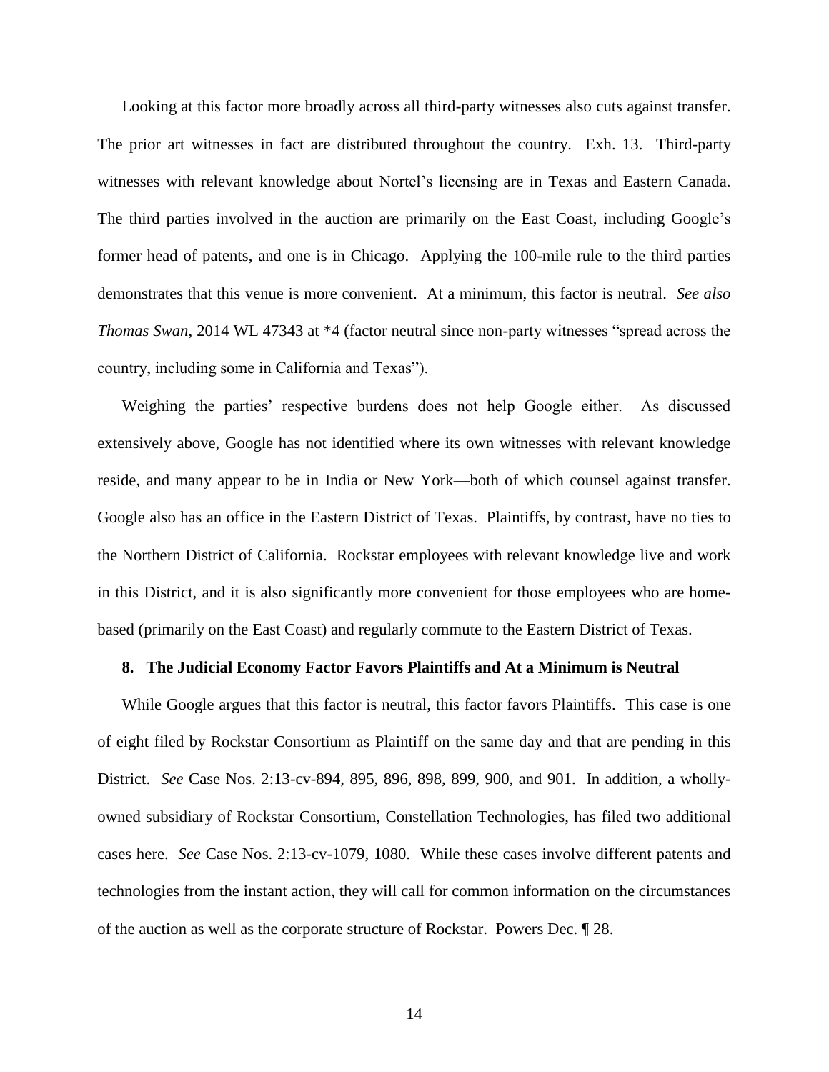Looking at this factor more broadly across all third-party witnesses also cuts against transfer. The prior art witnesses in fact are distributed throughout the country. Exh. 13. Third-party witnesses with relevant knowledge about Nortel's licensing are in Texas and Eastern Canada. The third parties involved in the auction are primarily on the East Coast, including Google's former head of patents, and one is in Chicago. Applying the 100-mile rule to the third parties demonstrates that this venue is more convenient. At a minimum, this factor is neutral. *See also Thomas Swan*, 2014 WL 47343 at \*4 (factor neutral since non-party witnesses "spread across the country, including some in California and Texas").

Weighing the parties' respective burdens does not help Google either. As discussed extensively above, Google has not identified where its own witnesses with relevant knowledge reside, and many appear to be in India or New York—both of which counsel against transfer. Google also has an office in the Eastern District of Texas. Plaintiffs, by contrast, have no ties to the Northern District of California. Rockstar employees with relevant knowledge live and work in this District, and it is also significantly more convenient for those employees who are homebased (primarily on the East Coast) and regularly commute to the Eastern District of Texas.

## **8. The Judicial Economy Factor Favors Plaintiffs and At a Minimum is Neutral**

While Google argues that this factor is neutral, this factor favors Plaintiffs. This case is one of eight filed by Rockstar Consortium as Plaintiff on the same day and that are pending in this District. *See* Case Nos. 2:13-cv-894, 895, 896, 898, 899, 900, and 901. In addition, a whollyowned subsidiary of Rockstar Consortium, Constellation Technologies, has filed two additional cases here. *See* Case Nos. 2:13-cv-1079, 1080. While these cases involve different patents and technologies from the instant action, they will call for common information on the circumstances of the auction as well as the corporate structure of Rockstar. Powers Dec. ¶ 28.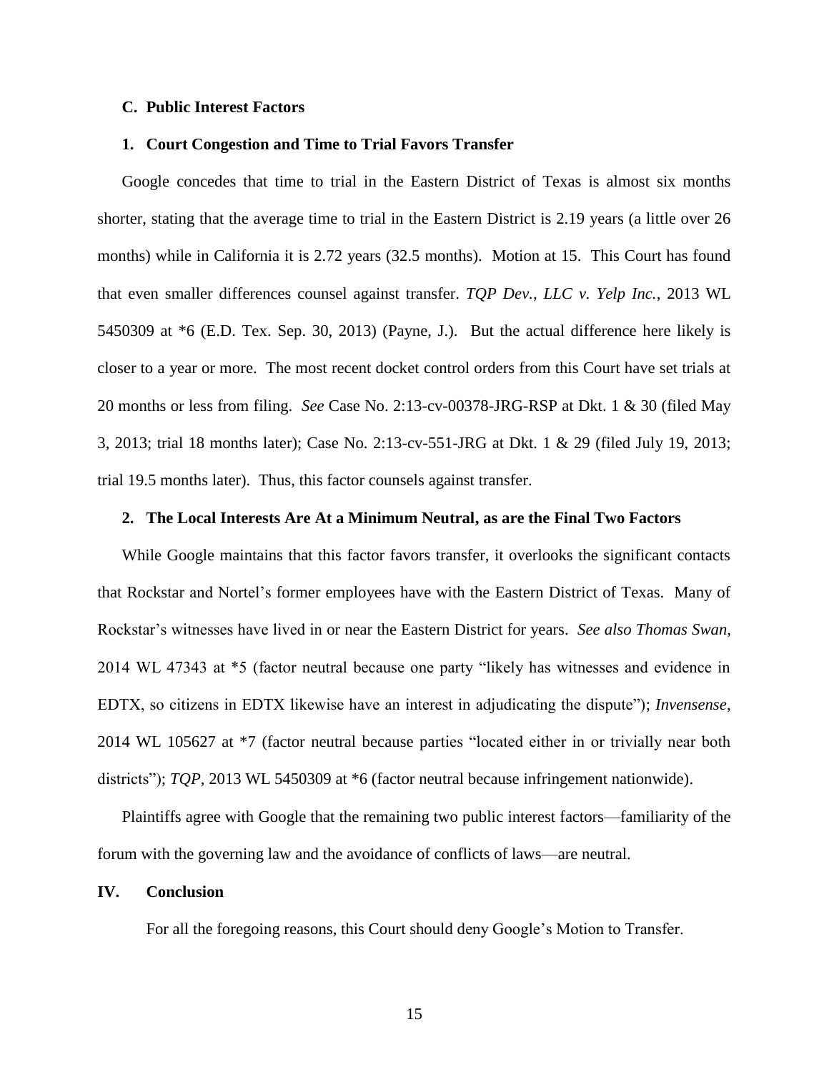## **C. Public Interest Factors**

## **1. Court Congestion and Time to Trial Favors Transfer**

Google concedes that time to trial in the Eastern District of Texas is almost six months shorter, stating that the average time to trial in the Eastern District is 2.19 years (a little over 26 months) while in California it is 2.72 years (32.5 months). Motion at 15. This Court has found that even smaller differences counsel against transfer. *TQP Dev., LLC v. Yelp Inc.*, 2013 WL 5450309 at \*6 (E.D. Tex. Sep. 30, 2013) (Payne, J.). But the actual difference here likely is closer to a year or more. The most recent docket control orders from this Court have set trials at 20 months or less from filing. *See* Case No. 2:13-cv-00378-JRG-RSP at Dkt. 1 & 30 (filed May 3, 2013; trial 18 months later); Case No. 2:13-cv-551-JRG at Dkt. 1 & 29 (filed July 19, 2013; trial 19.5 months later). Thus, this factor counsels against transfer.

## **2. The Local Interests Are At a Minimum Neutral, as are the Final Two Factors**

While Google maintains that this factor favors transfer, it overlooks the significant contacts that Rockstar and Nortel's former employees have with the Eastern District of Texas. Many of Rockstar's witnesses have lived in or near the Eastern District for years. *See also Thomas Swan*, 2014 WL 47343 at \*5 (factor neutral because one party "likely has witnesses and evidence in EDTX, so citizens in EDTX likewise have an interest in adjudicating the dispute"); *Invensense*, 2014 WL 105627 at \*7 (factor neutral because parties "located either in or trivially near both districts"); *TQP*, 2013 WL 5450309 at \*6 (factor neutral because infringement nationwide).

Plaintiffs agree with Google that the remaining two public interest factors—familiarity of the forum with the governing law and the avoidance of conflicts of laws—are neutral.

### **IV. Conclusion**

For all the foregoing reasons, this Court should deny Google's Motion to Transfer.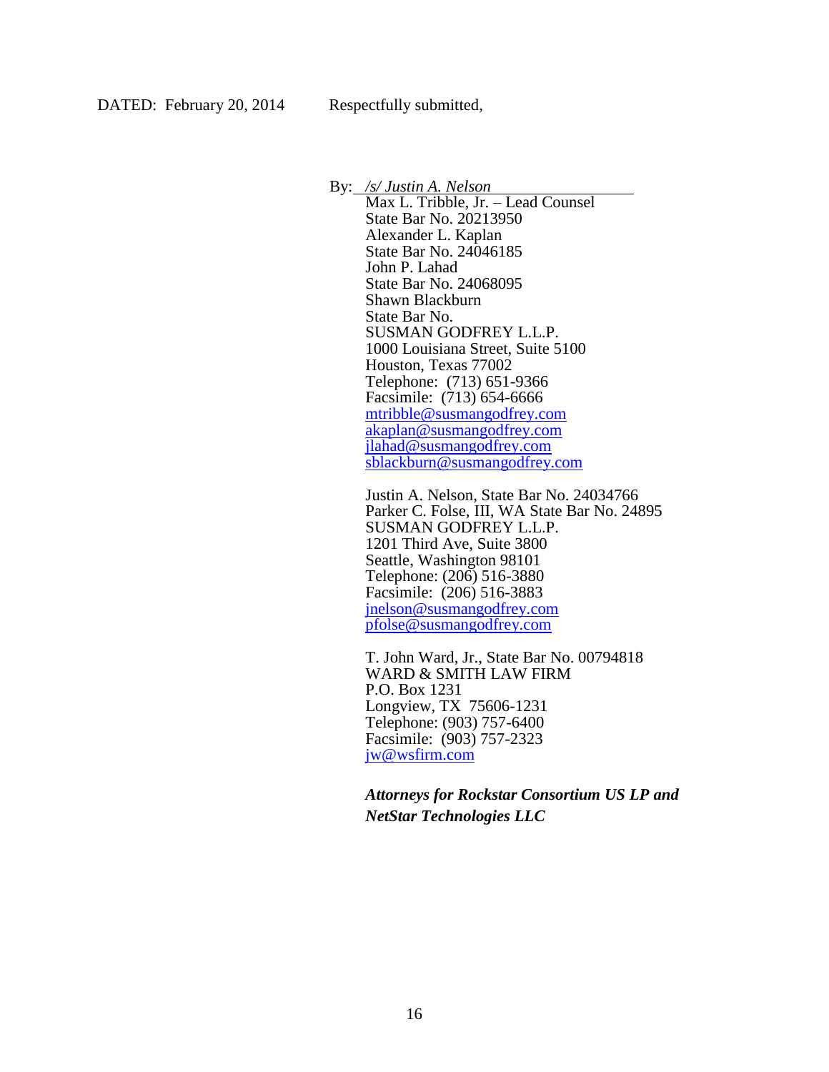By: */s/ Justin A. Nelson*

Max L. Tribble, Jr. – Lead Counsel State Bar No. 20213950 Alexander L. Kaplan State Bar No. 24046185 John P. Lahad State Bar No. 24068095 Shawn Blackburn State Bar No. SUSMAN GODFREY L.L.P. 1000 Louisiana Street, Suite 5100 Houston, Texas 77002 Telephone: (713) 651-9366 Facsimile: (713) 654-6666 [mtribble@susmangodfrey.com](mailto:mtribble@susmangodfrey.com) [akaplan@susmangodfrey.com](mailto:akaplan@susmangodfrey.com) [jlahad@susmangodfrey.com](mailto:jlahad@susmangodfrey.com) [sblackburn@susmangodfrey.com](mailto:sblackburn@susmangodfrey.com)

Justin A. Nelson, State Bar No. 24034766 Parker C. Folse, III, WA State Bar No. 24895 SUSMAN GODFREY L.L.P. 1201 Third Ave, Suite 3800 Seattle, Washington 98101 Telephone: (206) 516-3880 Facsimile: (206) 516-3883 [jnelson@susmangodfrey.com](mailto:jnelson@susmangodfrey.com) [pfolse@susmangodfrey.com](mailto:pfolse@susmangodfrey.com)

T. John Ward, Jr., State Bar No. 00794818 WARD & SMITH LAW FIRM P.O. Box 1231 Longview, TX 75606-1231 Telephone: (903) 757-6400 Facsimile: (903) 757-2323 [jw@wsfirm.com](mailto:jw@wsfirm.com)

*Attorneys for Rockstar Consortium US LP and NetStar Technologies LLC*